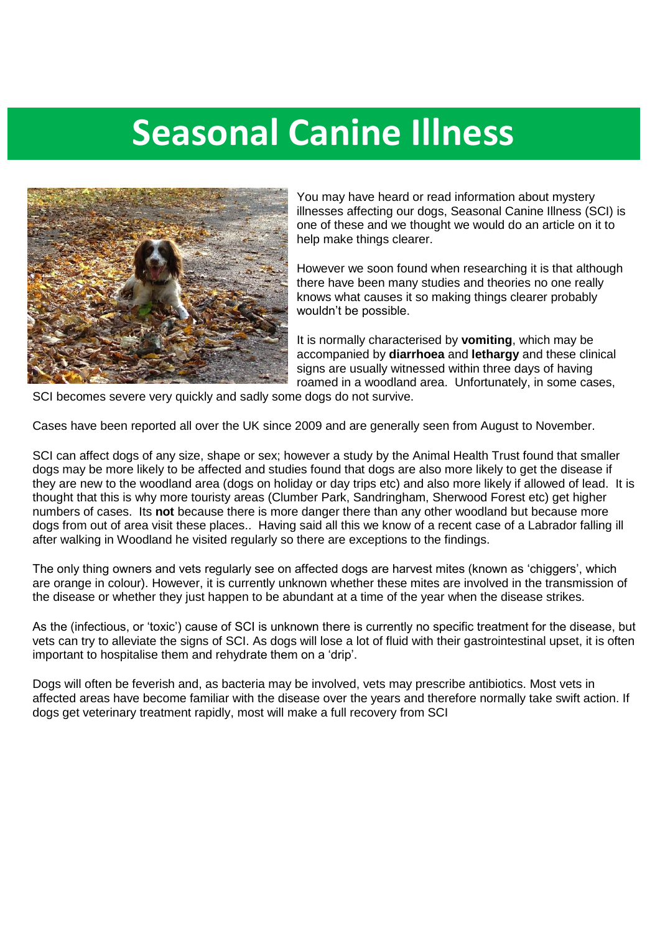# **Seasonal Canine Illness**



You may have heard or read information about mystery illnesses affecting our dogs, Seasonal Canine Illness (SCI) is one of these and we thought we would do an article on it to help make things clearer.

However we soon found when researching it is that although there have been many studies and theories no one really knows what causes it so making things clearer probably wouldn't be possible.

It is normally characterised by **vomiting**, which may be accompanied by **diarrhoea** and **lethargy** and these clinical signs are usually witnessed within three days of having roamed in a woodland area. Unfortunately, in some cases,

SCI becomes severe very quickly and sadly some dogs do not survive.

Seasonal Canine Illness - What is it?

Cases have been reported all over the UK since 2009 and are generally seen from August to November.

SCI can affect dogs of any size, shape or sex; however a study by the Animal Health Trust found that smaller dogs may be more likely to be affected and studies found that dogs are also more likely to get the disease if they are new to the woodland area (dogs on holiday or day trips etc) and also more likely if allowed of lead. It is thought that this is why more touristy areas (Clumber Park, Sandringham, Sherwood Forest etc) get higher numbers of cases. Its **not** because there is more danger there than any other woodland but because more dogs from out of area visit these places.. Having said all this we know of a recent case of a Labrador falling ill after walking in Woodland he visited regularly so there are exceptions to the findings.

The only thing owners and vets regularly see on affected dogs are harvest mites (known as 'chiggers', which are orange in colour). However, it is currently unknown whether these mites are involved in the transmission of the disease or whether they just happen to be abundant at a time of the year when the disease strikes.

As the (infectious, or 'toxic') cause of SCI is unknown there is currently no specific treatment for the disease, but vets can try to alleviate the signs of SCI. As dogs will lose a lot of fluid with their gastrointestinal upset, it is often important to hospitalise them and rehydrate them on a 'drip'.

Dogs will often be feverish and, as bacteria may be involved, vets may prescribe antibiotics. Most vets in affected areas have become familiar with the disease over the years and therefore normally take swift action. If dogs get veterinary treatment rapidly, most will make a full recovery from SCI